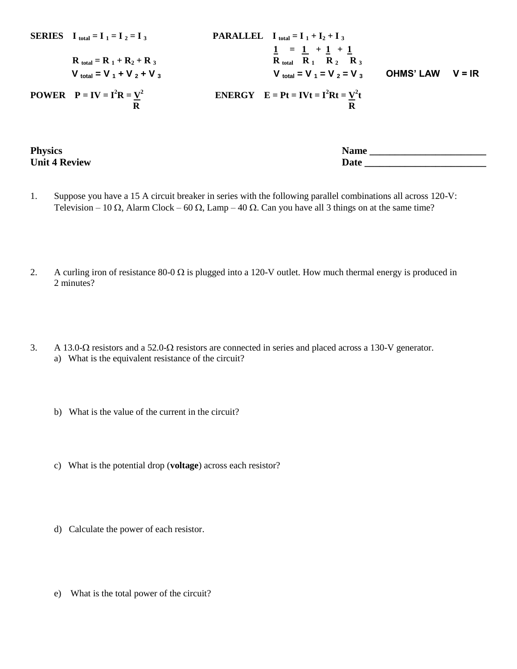| <b>SERIES</b> $I_{total} = I_1 = I_2 = I_3$                    | <b>PARALLEL</b> $I_{total} = I_1 + I_2 + I_3$                                                                                                         |                  |          |
|----------------------------------------------------------------|-------------------------------------------------------------------------------------------------------------------------------------------------------|------------------|----------|
| $R_{total} = R_1 + R_2 + R_3$<br>$V_{total} = V_1 + V_2 + V_3$ | $1 = 1 + 1 + 1$<br>$R_{total}$ $R_1$ $R_2$ $R_3$<br><b>V</b> <sub>total</sub> = <b>V</b> <sub>1</sub> = <b>V</b> <sub>2</sub> = <b>V</b> <sub>3</sub> | <b>OHMS' LAW</b> | $V = IR$ |
| <b>POWER</b> $P = IV = I^2R = V^2$                             | <b>ENERGY</b> $E = Pt = IVt = I^2Rt = V^2t$                                                                                                           |                  |          |

**Physics Name \_\_\_\_\_\_\_\_\_\_\_\_\_\_\_\_\_\_\_\_\_\_\_ Unit 4 Review Date** 

- 1. Suppose you have a 15 A circuit breaker in series with the following parallel combinations all across 120-V: Television – 10  $\Omega$ , Alarm Clock – 60  $\Omega$ , Lamp – 40  $\Omega$ . Can you have all 3 things on at the same time?
- 2. A curling iron of resistance  $80-0 \Omega$  is plugged into a 120-V outlet. How much thermal energy is produced in 2 minutes?
- 3. A 13.0- $\Omega$  resistors and a 52.0- $\Omega$  resistors are connected in series and placed across a 130-V generator. a) What is the equivalent resistance of the circuit?
	- b) What is the value of the current in the circuit?
	- c) What is the potential drop (**voltage**) across each resistor?
	- d) Calculate the power of each resistor.
	- e) What is the total power of the circuit?